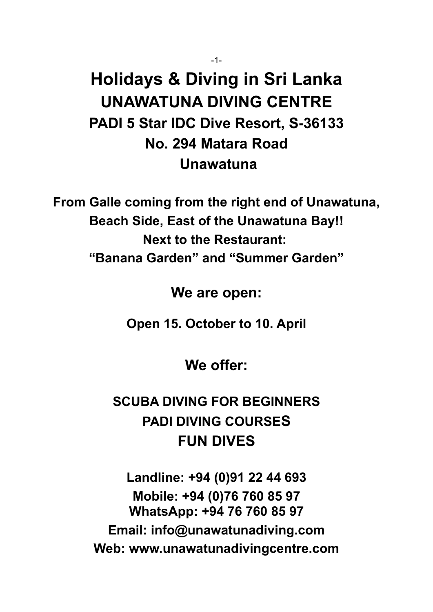# **Holidays & Diving in Sri Lanka UNAWATUNA DIVING CENTRE PADI 5 Star IDC Dive Resort, S-36133 No. 294 Matara Road Unawatuna**

**From Galle coming from the right end of Unawatuna, Beach Side, East of the Unawatuna Bay!! Next to the Restaurant: "Banana Garden" and "Summer Garden"**

**We are open:**

**Open 15. October to 10. April**

**We offer:**

## **SCUBA DIVING FOR BEGINNERS PADI DIVING COURSES FUN DIVES**

**Landline: +94 (0)91 22 44 693 Mobile: +94 (0)76 760 85 97 WhatsApp: +94 76 760 85 97 Email: info@unawatunadiving.com Web: www.unawatunadivingcentre.com**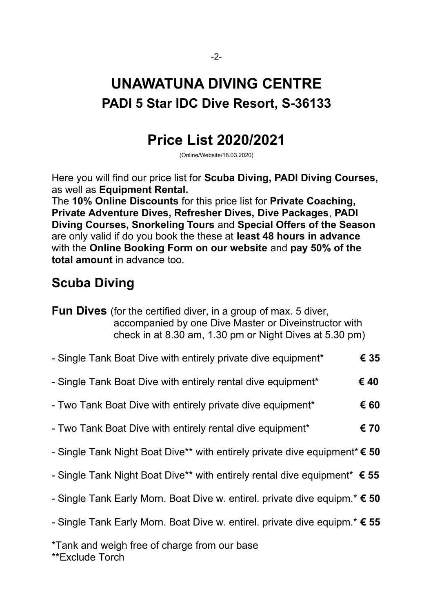## **UNAWATUNA DIVING CENTRE PADI 5 Star IDC Dive Resort, S-36133**

## **Price List 2020/2021**

(Online/Website/18.03.2020)

Here you will find our price list for **Scuba Diving, PADI Diving Courses,**  as well as **Equipment Rental.**

The **10% Online Discounts** for this price list for **Private Coaching, Private Adventure Dives, Refresher Dives, Dive Packages**, **PADI Diving Courses, Snorkeling Tours** and **Special Offers of the Season** are only valid if do you book the these at **least 48 hours in advance** with the **Online Booking Form on our website** and **pay 50% of the total amount** in advance too.

## **Scuba Diving**

- Single Tank Boat Dive with entirely private dive equipment\* **€ 35**
- Single Tank Boat Dive with entirely rental dive equipment\* **€ 40**
- Two Tank Boat Dive with entirely private dive equipment\* **€ 60**
- Two Tank Boat Dive with entirely rental dive equipment\* **€ 70**
- Single Tank Night Boat Dive\*\* with entirely private dive equipment\* **€ 50**
- Single Tank Night Boat Dive\*\* with entirely rental dive equipment\* **€ 55**
- Single Tank Early Morn. Boat Dive w. entirel. private dive equipm.\* **€ 50**
- Single Tank Early Morn. Boat Dive w. entirel. private dive equipm.\* **€ 55**

\*Tank and weigh free of charge from our base \*\*Exclude Torch

**Fun Dives** (for the certified diver, in a group of max. 5 diver, accompanied by one Dive Master or Diveinstructor with check in at 8.30 am, 1.30 pm or Night Dives at 5.30 pm)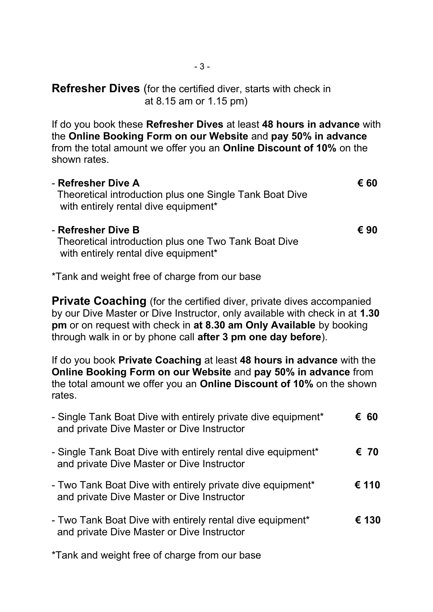**Refresher Dives** (for the certified diver, starts with check in at 8.15 am or 1.15 pm)

If do you book these **Refresher Dives** at least **48 hours in advance** with the **Online Booking Form on our Website** and **pay 50% in advance** from the total amount we offer you an **Online Discount of 10%** on the shown rates.

| - Refresher Dive A                                      | € 60 |
|---------------------------------------------------------|------|
| Theoretical introduction plus one Single Tank Boat Dive |      |
| with entirely rental dive equipment <sup>*</sup>        |      |

- **Refresher Dive B € 90** Theoretical introduction plus one Two Tank Boat Dive with entirely rental dive equipment\*

\*Tank and weight free of charge from our base

**Private Coaching** (for the certified diver, private dives accompanied by our Dive Master or Dive Instructor, only available with check in at **1.30 pm** or on request with check in **at 8.30 am Only Available** by booking through walk in or by phone call **after 3 pm one day before**).

If do you book **Private Coaching** at least **48 hours in advance** with the **Online Booking Form on our Website** and **pay 50% in advance** from the total amount we offer you an **Online Discount of 10%** on the shown rates.

| - Single Tank Boat Dive with entirely private dive equipment <sup>*</sup><br>and private Dive Master or Dive Instructor | € 60  |
|-------------------------------------------------------------------------------------------------------------------------|-------|
| - Single Tank Boat Dive with entirely rental dive equipment*<br>and private Dive Master or Dive Instructor              | € 70  |
| - Two Tank Boat Dive with entirely private dive equipment*<br>and private Dive Master or Dive Instructor                | € 110 |
| - Two Tank Boat Dive with entirely rental dive equipment <sup>*</sup><br>and private Dive Master or Dive Instructor     | € 130 |

\*Tank and weight free of charge from our base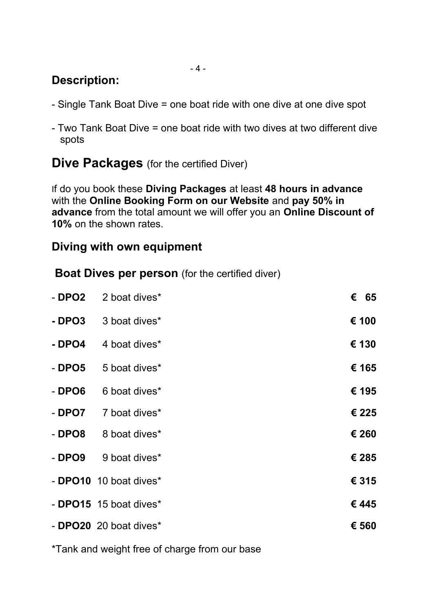#### $-4-$

## **Description:**

- Single Tank Boat Dive = one boat ride with one dive at one dive spot
- Two Tank Boat Dive = one boat ride with two dives at two different dive spots

**Dive Packages** (for the certified Diver)

If do you book these **Diving Packages** at least **48 hours in advance** with the **Online Booking Form on our Website** and **pay 50% in advance** from the total amount we will offer you an **Online Discount of 10%** on the shown rates.

### **Diving with own equipment**

**Boat Dives per person** (for the certified diver)

| - DPO2 | 2 boat dives <sup>*</sup>     | € 65  |
|--------|-------------------------------|-------|
| - DPO3 | 3 boat dives*                 | € 100 |
| - DPO4 | 4 boat dives <sup>*</sup>     | € 130 |
| - DPO5 | 5 boat dives*                 | € 165 |
| - DPO6 | 6 boat dives*                 | € 195 |
| - DPO7 | 7 boat dives*                 | € 225 |
| - DPO8 | 8 boat dives*                 | € 260 |
| - DPO9 | 9 boat dives*                 | € 285 |
|        | - <b>DPO10</b> 10 boat dives* | € 315 |
|        | - <b>DPO15</b> 15 boat dives* | €445  |
|        | - <b>DPO20</b> 20 boat dives* | € 560 |

\*Tank and weight free of charge from our base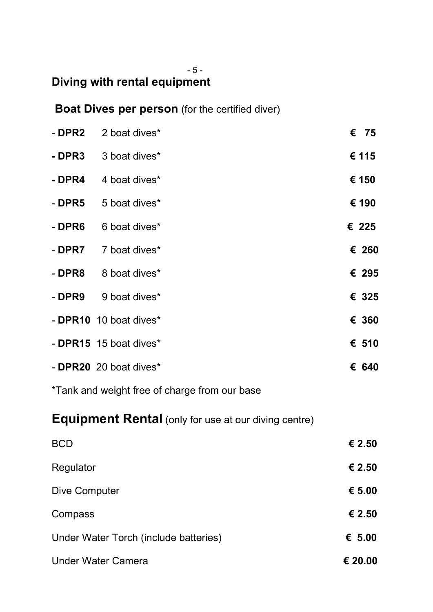#### - 5 -

## **Diving with rental equipment**

**Boat Dives per person** (for the certified diver)

| - DPR2        | 2 boat dives*                                               | $\epsilon$ 75 |
|---------------|-------------------------------------------------------------|---------------|
| - DPR3        | 3 boat dives*                                               | € 115         |
| - DPR4        | 4 boat dives*                                               | € 150         |
| - DPR5        | 5 boat dives*                                               | € 190         |
| - DPR6        | 6 boat dives*                                               | € 225         |
| - DPR7        | 7 boat dives*                                               | € 260         |
| - DPR8        | 8 boat dives*                                               | € 295         |
| - DPR9        | 9 boat dives*                                               | € 325         |
|               | - DPR10 10 boat dives*                                      | € 360         |
|               | - DPR15 15 boat dives*                                      | € 510         |
|               | - DPR20 20 boat dives*                                      | € 640         |
|               | *Tank and weight free of charge from our base               |               |
|               | <b>Equipment Rental</b> (only for use at our diving centre) |               |
| <b>BCD</b>    |                                                             | € 2.50        |
| Regulator     |                                                             | € 2.50        |
| Dive Computer |                                                             | € 5.00        |
| Compass       |                                                             | € 2.50        |
|               | Under Water Torch (include batteries)                       | € $5.00$      |

Under Water Camera **€ 20.00**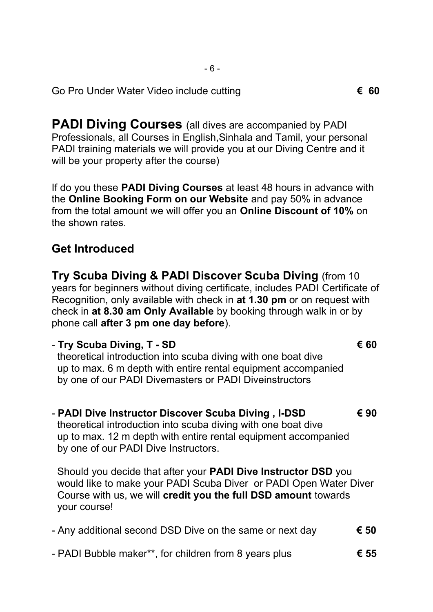Go Pro Under Water Video include cutting **€ 60**

**PADI Diving Courses** (all dives are accompanied by PADI Professionals, all Courses in English,Sinhala and Tamil, your personal PADI training materials we will provide you at our Diving Centre and it will be your property after the course)

If do you these **PADI Diving Courses** at least 48 hours in advance with the **Online Booking Form on our Website** and pay 50% in advance from the total amount we will offer you an **Online Discount of 10%** on the shown rates.

### **Get Introduced**

**Try Scuba Diving & PADI Discover Scuba Diving** (from 10 years for beginners without diving certificate, includes PADI Certificate of Recognition, only available with check in **at 1.30 pm** or on request with check in **at 8.30 am Only Available** by booking through walk in or by phone call **after 3 pm one day before**).

#### - **Try Scuba Diving, T - SD € 60**

 theoretical introduction into scuba diving with one boat dive up to max. 6 m depth with entire rental equipment accompanied by one of our PADI Divemasters or PADI Diveinstructors

- **PADI Dive Instructor Discover Scuba Diving , I-DSD € 90**  theoretical introduction into scuba diving with one boat dive up to max. 12 m depth with entire rental equipment accompanied by one of our PADI Dive Instructors.

Should you decide that after your **PADI Dive Instructor DSD** you would like to make your PADI Scuba Diver or PADI Open Water Diver Course with us, we will **credit you the full DSD amount** towards your course!

- Any additional second DSD Dive on the same or next day **€ 50**
- PADI Bubble maker\*\*, for children from 8 years plus **€ 55**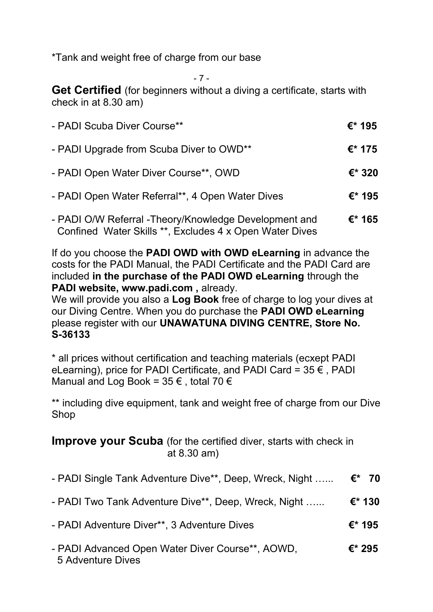\*Tank and weight free of charge from our base

- 7 -

**Get Certified** (for beginners without a diving a certificate, starts with check in at 8.30 am)

| - PADI Scuba Diver Course**                            | €* 195         |
|--------------------------------------------------------|----------------|
| - PADI Upgrade from Scuba Diver to OWD**               | €* 175         |
| - PADI Open Water Diver Course**, OWD                  | $\epsilon$ 320 |
| - PADI Open Water Referral**, 4 Open Water Dives       | €* 195         |
| - PADI O/W Referral - Theory/Knowledge Development and | €* 165         |

Confined Water Skills \*\*, Excludes 4 x Open Water Dives

If do you choose the **PADI OWD with OWD eLearning** in advance the costs for the PADI Manual, the PADI Certificate and the PADI Card are included **in the purchase of the PADI OWD eLearning** through the **PADI website, www.padi.com ,** already.

We will provide you also a **Log Book** free of charge to log your dives at our Diving Centre. When you do purchase the **PADI OWD eLearning**  please register with our **UNAWATUNA DIVING CENTRE, Store No. S-36133**

\* all prices without certification and teaching materials (ecxept PADI eLearning), price for PADI Certificate, and PADI Card =  $35 \notin$ , PADI Manual and Log Book =  $35 \in$ , total 70  $\in$ 

\*\* including dive equipment, tank and weight free of charge from our Dive Shop

**Improve your Scuba** (for the certified diver, starts with check in at 8.30 am)

| - PADI Single Tank Adventure Dive**, Deep, Wreck, Night | €* 70  |
|---------------------------------------------------------|--------|
| - PADI Two Tank Adventure Dive**, Deep, Wreck, Night    | €* 130 |
| - PADI Adventure Diver**, 3 Adventure Dives             | €* 195 |
| - PADI Advanced Open Water Diver Course**, AOWD,        | €* 295 |

5 Adventure Dives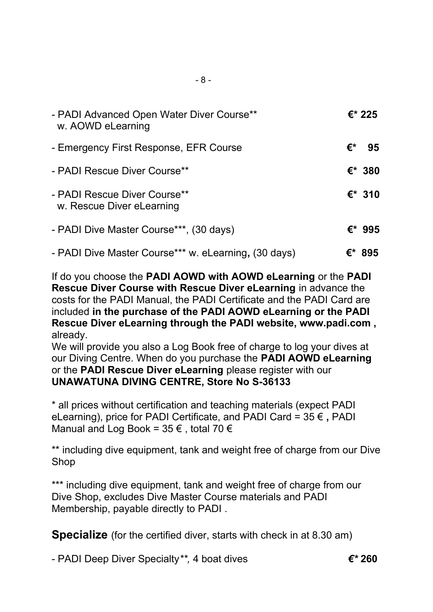| - PADI Advanced Open Water Diver Course**<br>w. AOWD eLearning |    | €* 225 |
|----------------------------------------------------------------|----|--------|
| - Emergency First Response, EFR Course                         | €* | 95     |
| - PADI Rescue Diver Course**                                   |    | €* 380 |
| - PADI Rescue Diver Course**<br>w. Rescue Diver eLearning      |    | €* 310 |
| - PADI Dive Master Course***, (30 days)                        |    | €* 995 |
| - PADI Dive Master Course*** w. eLearning, (30 days)           |    | €* 895 |

If do you choose the **PADI AOWD with AOWD eLearning** or the **PADI Rescue Diver Course with Rescue Diver eLearning** in advance the costs for the PADI Manual, the PADI Certificate and the PADI Card are included **in the purchase of the PADI AOWD eLearning or the PADI Rescue Diver eLearning through the PADI website, www.padi.com ,** already.

We will provide you also a Log Book free of charge to log your dives at our Diving Centre. When do you purchase the **PADI AOWD eLearning**  or the **PADI Rescue Diver eLearning** please register with our **UNAWATUNA DIVING CENTRE, Store No S-36133**

\* all prices without certification and teaching materials (expect PADI eLearning), price for PADI Certificate, and PADI Card = 35 € **,** PADI Manual and Log Book =  $35 \in$ , total 70  $\in$ 

\*\* including dive equipment, tank and weight free of charge from our Dive Shop

\*\*\* including dive equipment, tank and weight free of charge from our Dive Shop, excludes Dive Master Course materials and PADI Membership, payable directly to PADI .

**Specialize** (for the certified diver, starts with check in at 8.30 am)

- PADI Deep Diver Specialty*\*\*,* 4 boat dives *€\** **260**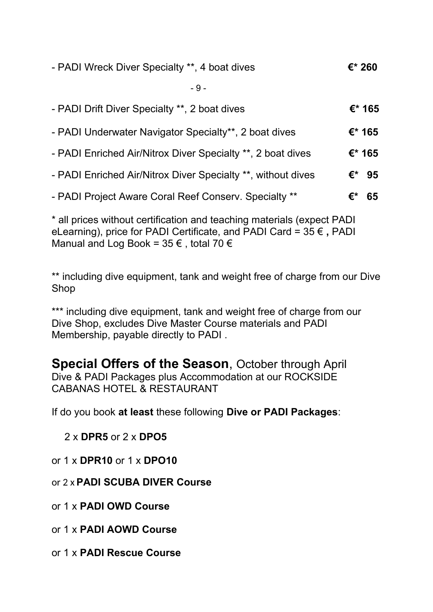| - PADI Wreck Diver Specialty **, 4 boat dives                | €* 260    |
|--------------------------------------------------------------|-----------|
| $-9-$                                                        |           |
| - PADI Drift Diver Specialty **, 2 boat dives                | €* 165    |
| - PADI Underwater Navigator Specialty**, 2 boat dives        | €* 165    |
| - PADI Enriched Air/Nitrox Diver Specialty **, 2 boat dives  | $E^*$ 165 |
| - PADI Enriched Air/Nitrox Diver Specialty **, without dives | €*<br>95  |
| - PADI Project Aware Coral Reef Conserv. Specialty **        | €*<br>65  |

\* all prices without certification and teaching materials (expect PADI eLearning), price for PADI Certificate, and PADI Card = 35 € **,** PADI Manual and Log Book =  $35 \in$ , total 70  $\in$ 

\*\* including dive equipment, tank and weight free of charge from our Dive Shop

\*\*\* including dive equipment, tank and weight free of charge from our Dive Shop, excludes Dive Master Course materials and PADI Membership, payable directly to PADI .

**Special Offers of the Season**, October through April Dive & PADI Packages plus Accommodation at our ROCKSIDE CABANAS HOTEL & RESTAURANT

If do you book **at least** these following **Dive or PADI Packages**:

2 x **DPR5** or 2 x **DPO5**

or 1 x **DPR10** or 1 x **DPO10**

or 2 x **PADI SCUBA DIVER Course**

or 1 x **PADI OWD Course**

or 1 x **PADI AOWD Course**

or 1 x **PADI Rescue Course**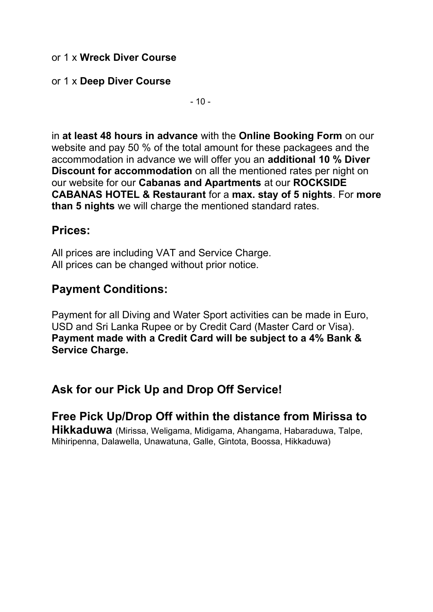#### or 1 x **Wreck Diver Course**

#### or 1 x **Deep Diver Course**

 $-10-$ 

in **at least 48 hours in advance** with the **Online Booking Form** on our website and pay 50 % of the total amount for these packagees and the accommodation in advance we will offer you an **additional 10 % Diver Discount for accommodation** on all the mentioned rates per night on our website for our **Cabanas and Apartments** at our **ROCKSIDE CABANAS HOTEL & Restaurant** for a **max. stay of 5 nights**. For **more than 5 nights** we will charge the mentioned standard rates.

#### **Prices:**

All prices are including VAT and Service Charge. All prices can be changed without prior notice.

## **Payment Conditions:**

Payment for all Diving and Water Sport activities can be made in Euro, USD and Sri Lanka Rupee or by Credit Card (Master Card or Visa). **Payment made with a Credit Card will be subject to a 4% Bank & Service Charge.**

## **Ask for our Pick Up and Drop Off Service!**

**Free Pick Up/Drop Off within the distance from Mirissa to Hikkaduwa** (Mirissa, Weligama, Midigama, Ahangama, Habaraduwa, Talpe, Mihiripenna, Dalawella, Unawatuna, Galle, Gintota, Boossa, Hikkaduwa)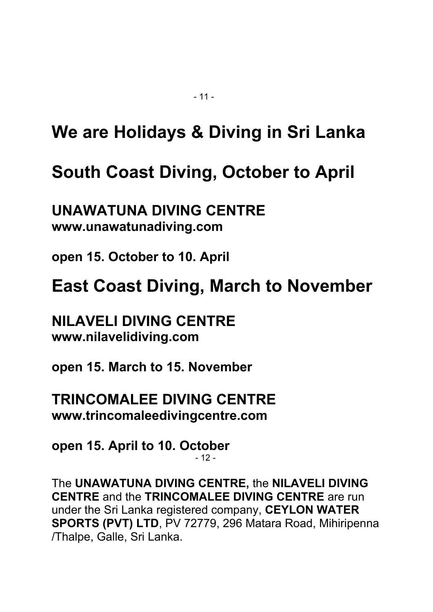# **We are Holidays & Diving in Sri Lanka**

# **South Coast Diving, October to April**

**UNAWATUNA DIVING CENTRE www.unawatunadiving.com** 

**open 15. October to 10. April**

**East Coast Diving, March to November**

## **NILAVELI DIVING CENTRE www.nilavelidiving.com**

**open 15. March to 15. November** 

**TRINCOMALEE DIVING CENTRE www.trincomaleedivingcentre.com** 

**open 15. April to 10. October**   $-12$  -

The **UNAWATUNA DIVING CENTRE,** the **NILAVELI DIVING CENTRE** and the **TRINCOMALEE DIVING CENTRE** are run under the Sri Lanka registered company, **CEYLON WATER SPORTS (PVT) LTD**, PV 72779, 296 Matara Road, Mihiripenna /Thalpe, Galle, Sri Lanka.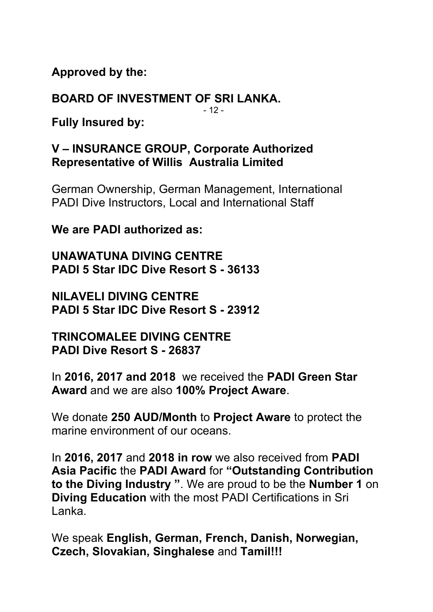**Approved by the:**

**BOARD OF INVESTMENT OF SRI LANKA.**  $-12-$ 

**Fully Insured by:**

## **V – INSURANCE GROUP, Corporate Authorized Representative of Willis Australia Limited**

German Ownership, German Management, International PADI Dive Instructors, Local and International Staff

**We are PADI authorized as:** 

**UNAWATUNA DIVING CENTRE PADI 5 Star IDC Dive Resort S - 36133** 

**NILAVELI DIVING CENTRE PADI 5 Star IDC Dive Resort S - 23912**

**TRINCOMALEE DIVING CENTRE PADI Dive Resort S - 26837**

In **2016, 2017 and 2018** we received the **PADI Green Star Award** and we are also **100% Project Aware**.

We donate **250 AUD/Month** to **Project Aware** to protect the marine environment of our oceans.

In **2016, 2017** and **2018 in row** we also received from **PADI Asia Pacific** the **PADI Award** for **"Outstanding Contribution to the Diving Industry "**. We are proud to be the **Number 1** on **Diving Education** with the most PADI Certifications in Sri Lanka.

We speak **English, German, French, Danish, Norwegian, Czech, Slovakian, Singhalese** and **Tamil!!!**